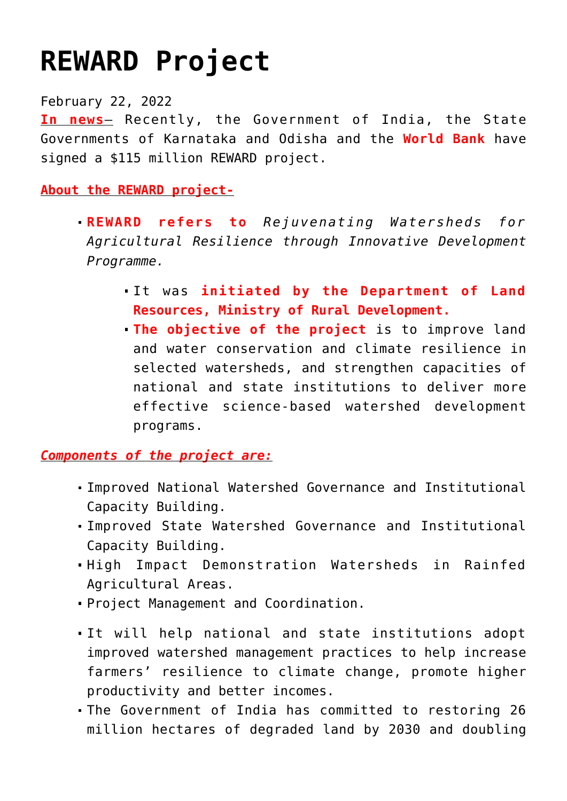## **[REWARD Project](https://journalsofindia.com/reward-project/)**

February 22, 2022

**In news**– Recently, the Government of India, the State Governments of Karnataka and Odisha and the **World Bank** have signed a \$115 million REWARD project.

**About the REWARD project-**

- **REWARD refers to** *Rejuvenating Watersheds for Agricultural Resilience through Innovative Development Programme.*
	- It was **initiated by the Department of Land Resources, Ministry of Rural Development.**
	- **The objective of the project** is to improve land and water conservation and climate resilience in selected watersheds, and strengthen capacities of national and state institutions to deliver more effective science-based watershed development programs.

*Components of the project are:*

- Improved National Watershed Governance and Institutional Capacity Building.
- Improved State Watershed Governance and Institutional Capacity Building.
- High Impact Demonstration Watersheds in Rainfed Agricultural Areas.
- Project Management and Coordination.
- It will help national and state institutions adopt improved watershed management practices to help increase farmers' resilience to climate change, promote higher productivity and better incomes.
- The Government of India has committed to restoring 26 million hectares of degraded land by 2030 and doubling